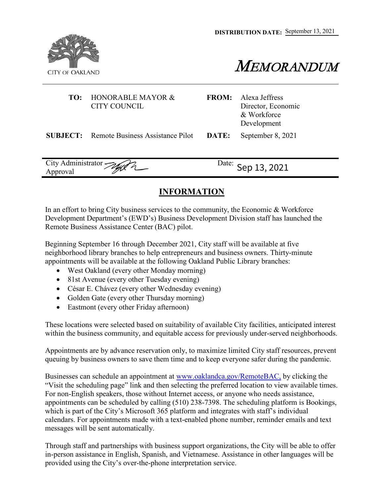**DISTRIBUTION DATE:**  September 13, 2021



MEMORANDUM

| TO:                | HONORABLE MAYOR &<br>CITY COUNCIL                | <b>FROM:</b>       | Alexa Jeffress<br>Director, Economic<br>& Workforce<br>Development |
|--------------------|--------------------------------------------------|--------------------|--------------------------------------------------------------------|
|                    | <b>SUBJECT:</b> Remote Business Assistance Pilot | DATE:              | September 8, 2021                                                  |
| City Administrator |                                                  | Date: Sep 13, 2021 |                                                                    |

## **INFORMATION**

In an effort to bring City business services to the community, the Economic & Workforce Development Department's (EWD's) Business Development Division staff has launched the Remote Business Assistance Center (BAC) pilot.

Beginning September 16 through December 2021, City staff will be available at five neighborhood library branches to help entrepreneurs and business owners. Thirty-minute appointments will be available at the following Oakland Public Library branches:

- West Oakland (every other Monday morning)
- 81st Avenue (every other Tuesday evening)
- César E. Chávez (every other Wednesday evening)
- Golden Gate (every other Thursday morning)
- Eastmont (every other Friday afternoon)

These locations were selected based on suitability of available City facilities, anticipated interest within the business community, and equitable access for previously under-served neighborhoods.

Appointments are by advance reservation only, to maximize limited City staff resources, prevent queuing by business owners to save them time and to keep everyone safer during the pandemic.

Businesses can schedule an appointment at [www.oaklandca.gov/RemoteBAC,](http://www.oaklandca.gov/RemoteBAC,) by clicking the "Visit the scheduling page" link and then selecting the preferred location to view available times. For non-English speakers, those without Internet access, or anyone who needs assistance, appointments can be scheduled by calling (510) 238-7398. The scheduling platform is Bookings, which is part of the City's Microsoft 365 platform and integrates with staff's individual calendars. For appointments made with a text-enabled phone number, reminder emails and text messages will be sent automatically.

Through staff and partnerships with business support organizations, the City will be able to offer in- person assistance in English, Spanish, and Vietnamese. Assistance in other languages will be provided using the City's over-the-phone interpretation service.